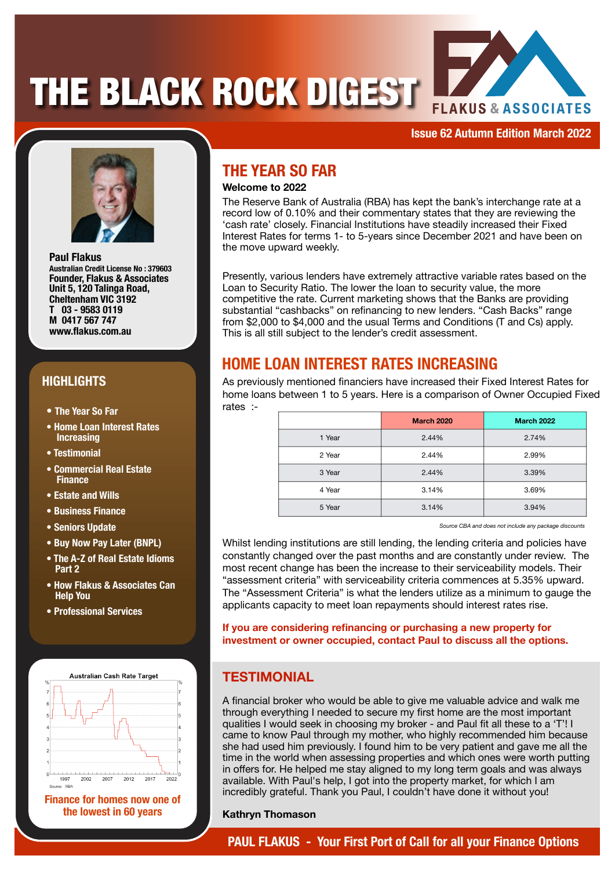# **THE BLACK ROCK DIGEST**



**Issue 62 Autumn Edition March 2022**



**Paul Flakus Australian Credit License No : 379603 Founder, Flakus & Associates Unit 5, 120 Talinga Road, Cheltenham VIC 3192 T 03 - 9583 0119 M 0417 567 747 www.flakus.com.au**

## **HIGHLIGHTS**

- **• The Year So Far**
- **Home Loan Interest Rates Increasing**
- **Testimonial**
- **Commercial Real Estate Finance**
- **Estate and Wills**
- **Business Finance**
- **Seniors Update**
- **Buy Now Pay Later (BNPL)**
- **The A-Z of Real Estate Idioms Part 2**
- **How Flakus & Associates Can Help You**
- **Professional Services**



**Finance for homes now one of the lowest in 60 years**

# **THE YEAR SO FAR**

### **Welcome to 2022**

The Reserve Bank of Australia (RBA) has kept the bank's interchange rate at a record low of 0.10% and their commentary states that they are reviewing the 'cash rate' closely. Financial Institutions have steadily increased their Fixed Interest Rates for terms 1- to 5-years since December 2021 and have been on the move upward weekly.

Presently, various lenders have extremely attractive variable rates based on the Loan to Security Ratio. The lower the loan to security value, the more competitive the rate. Current marketing shows that the Banks are providing substantial "cashbacks" on refinancing to new lenders. "Cash Backs" range from \$2,000 to \$4,000 and the usual Terms and Conditions (T and Cs) apply. This is all still subject to the lender's credit assessment.

## **HOME LOAN INTEREST RATES INCREASING**

As previously mentioned financiers have increased their Fixed Interest Rates for home loans between 1 to 5 years. Here is a comparison of Owner Occupied Fixed rates :-

|        | <b>March 2020</b> | <b>March 2022</b> |
|--------|-------------------|-------------------|
| 1 Year | 2.44%             | 2.74%             |
| 2 Year | 2.44%             | 2.99%             |
| 3 Year | 2.44%             | 3.39%             |
| 4 Year | 3.14%             | 3.69%             |
| 5 Year | 3.14%             | 3.94%             |

*Source CBA and does not include any package discounts*

Whilst lending institutions are still lending, the lending criteria and policies have constantly changed over the past months and are constantly under review. The most recent change has been the increase to their serviceability models. Their "assessment criteria" with serviceability criteria commences at 5.35% upward. The "Assessment Criteria" is what the lenders utilize as a minimum to gauge the applicants capacity to meet loan repayments should interest rates rise.

**If you are considering refinancing or purchasing a new property for investment or owner occupied, contact Paul to discuss all the options.**

## **TESTIMONIAL**

A financial broker who would be able to give me valuable advice and walk me through everything I needed to secure my first home are the most important qualities I would seek in choosing my broker - and Paul fit all these to a 'T'! I came to know Paul through my mother, who highly recommended him because she had used him previously. I found him to be very patient and gave me all the time in the world when assessing properties and which ones were worth putting in offers for. He helped me stay aligned to my long term goals and was always available. With Paul's help, I got into the property market, for which I am incredibly grateful. Thank you Paul, I couldn't have done it without you!

#### **Kathryn Thomason**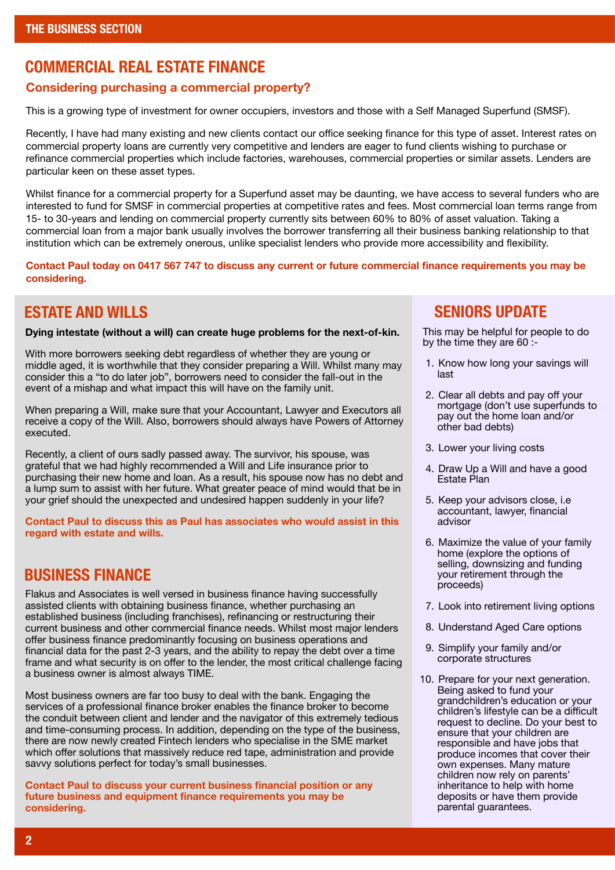## **COMMERCIAL REAL ESTATE FINANCE**

#### **Considering purchasing a commercial property?**

This is a growing type of investment for owner occupiers, investors and those with a Self Managed Superfund (SMSF).

Recently, I have had many existing and new clients contact our office seeking finance for this type of asset. Interest rates on commercial property loans are currently very competitive and lenders are eager to fund clients wishing to purchase or refinance commercial properties which include factories, warehouses, commercial properties or similar assets. Lenders are particular keen on these asset types.

Whilst finance for a commercial property for a Superfund asset may be daunting, we have access to several funders who are interested to fund for SMSF in commercial properties at competitive rates and fees. Most commercial loan terms range from 15- to 30-years and lending on commercial property currently sits between 60% to 80% of asset valuation. Taking a commercial loan from a major bank usually involves the borrower transferring all their business banking relationship to that institution which can be extremely onerous, unlike specialist lenders who provide more accessibility and flexibility.

**Contact Paul today on 0417 567 747 to discuss any current or future commercial finance requirements you may be considering.**

## **ESTATE AND WILLS**

**Dying intestate (without a will) can create huge problems for the next-of-kin.**

With more borrowers seeking debt regardless of whether they are young or middle aged, it is worthwhile that they consider preparing a Will. Whilst many may consider this a "to do later job", borrowers need to consider the fall-out in the event of a mishap and what impact this will have on the family unit.

When preparing a Will, make sure that your Accountant, Lawyer and Executors all receive a copy of the Will. Also, borrowers should always have Powers of Attorney executed.

Recently, a client of ours sadly passed away. The survivor, his spouse, was grateful that we had highly recommended a Will and Life insurance prior to purchasing their new home and loan. As a result, his spouse now has no debt and a lump sum to assist with her future. What greater peace of mind would that be in your grief should the unexpected and undesired happen suddenly in your life?

**Contact Paul to discuss this as Paul has associates who would assist in this regard with estate and wills.**

## **BUSINESS FINANCE**

Flakus and Associates is well versed in business finance having successfully assisted clients with obtaining business finance, whether purchasing an established business (including franchises), refinancing or restructuring their current business and other commercial finance needs. Whilst most major lenders offer business finance predominantly focusing on business operations and financial data for the past 2-3 years, and the ability to repay the debt over a time frame and what security is on offer to the lender, the most critical challenge facing a business owner is almost always TIME.

Most business owners are far too busy to deal with the bank. Engaging the services of a professional finance broker enables the finance broker to become the conduit between client and lender and the navigator of this extremely tedious and time-consuming process. In addition, depending on the type of the business, there are now newly created Fintech lenders who specialise in the SME market which offer solutions that massively reduce red tape, administration and provide savvy solutions perfect for today's small businesses.

**Contact Paul to discuss your current business financial position or any future business and equipment finance requirements you may be considering.**

## **SENIORS UPDATE**

This may be helpful for people to do by the time they are 60 :-

- 1. Know how long your savings will last
- 2. Clear all debts and pay off your mortgage (don't use superfunds to pay out the home loan and/or other bad debts)
- 3. Lower your living costs
- 4. Draw Up a Will and have a good Estate Plan
- 5. Keep your advisors close, i.e accountant, lawyer, financial advisor
- 6. Maximize the value of your family home (explore the options of selling, downsizing and funding your retirement through the proceeds)
- 7. Look into retirement living options
- 8. Understand Aged Care options
- 9. Simplify your family and/or corporate structures
- 10. Prepare for your next generation. Being asked to fund your grandchildren's education or your children's lifestyle can be a difficult request to decline. Do your best to ensure that your children are responsible and have jobs that produce incomes that cover their own expenses. Many mature children now rely on parents' inheritance to help with home deposits or have them provide parental guarantees.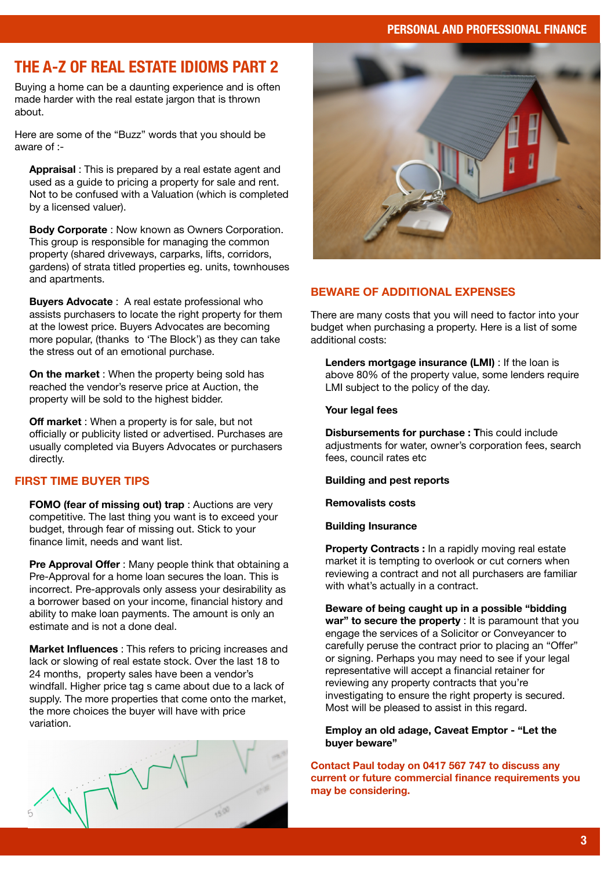#### **PERSONAL AND PROFESSIONAL FINANCE**

# **THE A-Z OF REAL ESTATE IDIOMS PART 2**

Buying a home can be a daunting experience and is often made harder with the real estate jargon that is thrown about.

Here are some of the "Buzz" words that you should be aware of :-

**Appraisal** : This is prepared by a real estate agent and used as a guide to pricing a property for sale and rent. Not to be confused with a Valuation (which is completed by a licensed valuer).

**Body Corporate** : Now known as Owners Corporation. This group is responsible for managing the common property (shared driveways, carparks, lifts, corridors, gardens) of strata titled properties eg. units, townhouses and apartments.

**Buyers Advocate** : A real estate professional who assists purchasers to locate the right property for them at the lowest price. Buyers Advocates are becoming more popular, (thanks to 'The Block') as they can take the stress out of an emotional purchase.

**On the market** : When the property being sold has reached the vendor's reserve price at Auction, the property will be sold to the highest bidder.

**Off market** : When a property is for sale, but not officially or publicity listed or advertised. Purchases are usually completed via Buyers Advocates or purchasers directly.

#### **FIRST TIME BUYER TIPS**

**FOMO (fear of missing out) trap** : Auctions are very competitive. The last thing you want is to exceed your budget, through fear of missing out. Stick to your finance limit, needs and want list.

**Pre Approval Offer** : Many people think that obtaining a Pre-Approval for a home loan secures the loan. This is incorrect. Pre-approvals only assess your desirability as a borrower based on your income, financial history and ability to make loan payments. The amount is only an estimate and is not a done deal.

**Market Influences** : This refers to pricing increases and lack or slowing of real estate stock. Over the last 18 to 24 months, property sales have been a vendor's windfall. Higher price tag s came about due to a lack of supply. The more properties that come onto the market, the more choices the buyer will have with price variation.





#### **BEWARE OF ADDITIONAL EXPENSES**

There are many costs that you will need to factor into your budget when purchasing a property. Here is a list of some additional costs:

**Lenders mortgage insurance (LMI)** : If the loan is above 80% of the property value, some lenders require LMI subject to the policy of the day.

#### **Your legal fees**

**Disbursements for purchase : T**his could include adjustments for water, owner's corporation fees, search fees, council rates etc

**Building and pest reports**

**Removalists costs**

#### **Building Insurance**

**Property Contracts :** In a rapidly moving real estate market it is tempting to overlook or cut corners when reviewing a contract and not all purchasers are familiar with what's actually in a contract.

**Beware of being caught up in a possible "bidding war" to secure the property** : It is paramount that you engage the services of a Solicitor or Conveyancer to carefully peruse the contract prior to placing an "Offer" or signing. Perhaps you may need to see if your legal representative will accept a financial retainer for reviewing any property contracts that you're investigating to ensure the right property is secured. Most will be pleased to assist in this regard.

**Employ an old adage, Caveat Emptor - "Let the buyer beware"**

**Contact Paul today on 0417 567 747 to discuss any current or future commercial finance requirements you may be considering.**